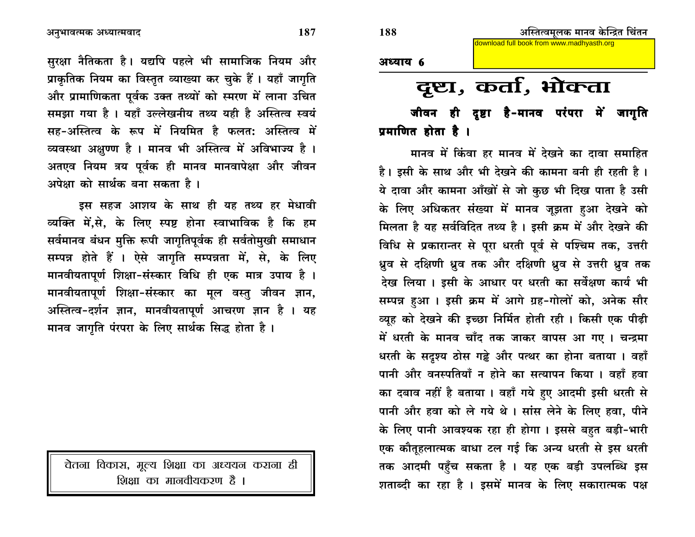सुरक्षा नैतिकता है। यद्यपि पहले भी सामाजिक नियम और प्राकृतिक नियम का विस्तृत व्याख्या कर चुके हैं। यहाँ जागृति और प्रामाणिकता पूर्वक उक्त तथ्यों को स्मरण में लाना उचित समझा गया है । यहाँ उल्लेखनीय तथ्य यही है अस्तित्व स्वयं सह-अस्तित्व के रूप में नियमित है फलत: अस्तित्व में व्यवस्था अक्षुण्ण है । मानव भी अस्तित्व में अविभाज्य है । अतएव नियम त्रय पूर्वक ही मानव मानवापेक्षा और जीवन अपेक्षा को सार्थक बना सकता है।

डस सहज आशय के साथ ही यह तथ्य हर मेधावी व्यक्ति में,से, के लिए स्पष्ट होना स्वाभाविक है कि हम सर्वमानव बंधन मुक्ति रूपी जागृतिपूर्वक ही सर्वतोमुखी समाधान सम्पन्न होते हैं । ऐसे जागृति सम्पन्नता में, से, के लिए मानवीयतापूर्ण शिक्षा-संस्कार विधि ही एक मात्र उपाय है । मानवीयतापूर्ण शिक्षा-संस्कार का मूल वस्तु जीवन ज्ञान, अस्तित्व-दर्शन ज्ञान, मानवीयतापूर्ण आचरण ज्ञान है । यह मानव जागृति पंरपरा के लिए सार्थक सिद्ध होता है।

चेतना विकास, मूल्य शिक्षा का अध्ययन कराना ही शिक्षा का मानवीयकरण है ।

## अध्याय 6

## दृष्टा, कर्ता, भोक्ता

जीवन ही दृष्टा है-मानव परंपरा में जागृति प्रमाणित होता है ।

मानव में किंवा हर मानव में देखने का दावा समाहित है। इसी के साथ और भी देखने की कामना बनी ही रहती है। ये दावा और कामना आँखों से जो कुछ भी दिख पाता है उसी के लिए अधिकतर संख्या में मानव जूझता हुआ देखने को मिलता है यह सर्वविदित तथ्य है। इसी क्रम में और देखने की विधि से प्रकारान्तर से पूरा धरती पूर्व से पश्चिम तक, उत्तरी ध्रुव से दक्षिणी ध्रुव तक और दक्षिणी ध्रुव से उत्तरी ध्रुव तक देख लिया। इसी के आधार पर धरती का सर्वेक्षण कार्य भी सम्पन्न हुआ। इसी क्रम में आगे ग्रह-गोलों को, अनेक सौर व्युह को देखने की इच्छा निर्मित होती रही। किसी एक पीढ़ी में धरती के मानव चाँद तक जाकर वापस आ गए। चन्द्रमा धरती के सदृश्य ठोस गढ्ढे और पत्थर का होना बताया । वहाँ पानी और वनस्पतियाँ न होने का सत्यापन किया । वहाँ हवा का दबाव नहीं है बताया । वहाँ गये हुए आदमी इसी धरती से पानी और हवा को ले गये थे। सांस लेने के लिए हवा, पीने के लिए पानी आवश्यक रहा ही होगा । इससे बहुत बड़ी-भारी एक कौतूहलात्मक बाधा टल गई कि अन्य धरती से इस धरती तक आदमी पहुँच सकता है । यह एक बड़ी उपलब्धि इस शताब्दी का रहा है। इसमें मानव के लिए सकारात्मक पक्ष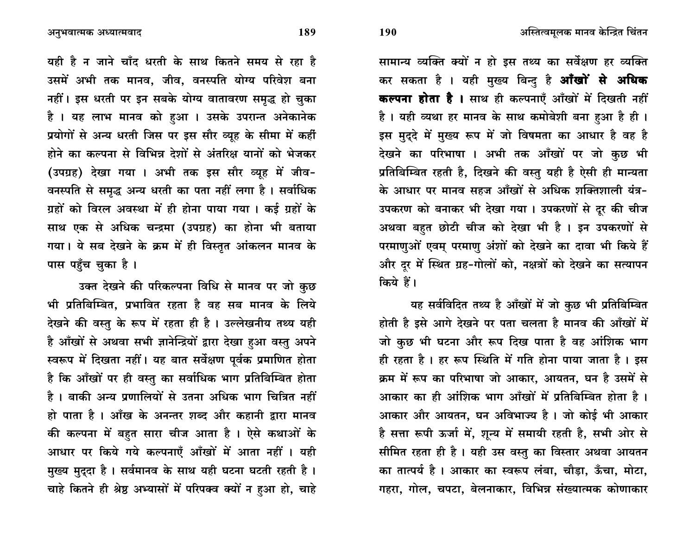सामान्य व्यक्ति क्यों न हो इस तथ्य का सर्वेक्षण हर व्यक्ति कर सकता है । यही मुख्य बिन्द है **आँखों से अधिक** कल्पना होता है । साथ ही कल्पनाएँ आँखों में दिखती नहीं है। यही व्यथा हर मानव के साथ कमोबेशी बना हआ है ही। इस मुदुदे में मुख्य रूप में जो विषमता का आधार है वह है देखने का परिभाषा । अभी तक आँखों पर जो कुछ भी प्रतिबिम्बित रहती है, दिखने की वस्तु यही है ऐसी ही मान्यता के आधार पर मानव सहज आँखों से अधिक शक्तिशाली यंत्र-उपकरण को बनाकर भी देखा गया। उपकरणों से दूर की चीज अथवा बहत छोटी चीज को देखा भी है। इन उपकरणों से परमाणुओं एवम् परमाणु अंशों को देखने का दावा भी किये हैं और दुर में स्थित ग्रह-गोलों को, नक्षत्रों को देखने का सत्यापन किये हैं।

यह सर्वविदित तथ्य है आँखों में जो कुछ भी प्रतिबिम्बित होती है इसे आगे देखने पर पता चलता है मानव की आँखों में जो कुछ भी घटना और रूप दिख पाता है वह आंशिक भाग ही रहता है। हर रूप स्थिति में गति होना पाया जाता है। इस क्रम में रूप का परिभाषा जो आकार, आयतन, घन है उसमें से आकार का ही आंशिक भाग आँखों में प्रतिबिम्बित होता है । आकार और आयतन, घन अविभाज्य है। जो कोई भी आकार है सत्ता रूपी ऊर्जा में, शून्य में समायी रहती है, सभी ओर से सीमित रहता ही है। यही उस वस्तु का विस्तार अथवा आयतन का तात्पर्य है । आकार का स्वरूप लंबा, चौड़ा, ऊँचा, मोटा, गहरा, गोल, चपटा, बेलनाकार, विभिन्न संख्यात्मक कोणाकार

यही है न जाने चाँद धरती के साथ कितने समय से रहा है उसमें अभी तक मानव, जीव, वनस्पति योग्य परिवेश बना नहीं। इस धरती पर इन सबके योग्य वातावरण समृद्ध हो चुका है। यह लाभ मानव को हआ। उसके उपरान्त अनेकानेक प्रयोगों से अन्य धरती जिस पर इस सौर व्यूह के सीमा में कहीं होने का कल्पना से विभिन्न देशों से अंतरिक्ष यानों को भेजकर (उपग्रह) देखा गया । अभी तक इस सौर व्यह में जीव-वनस्पति से समृद्ध अन्य धरती का पता नहीं लगा है। सर्वाधिक ग्रहों को विरल अवस्था में ही होना पाया गया। कई ग्रहों के साथ एक से अधिक चन्द्रमा (उपग्रह) का होना भी बताया

गया। ये सब देखने के क्रम में ही विस्तृत आंकलन मानव के पास पहुँच चुका है ।

उक्त देखने की परिकल्पना विधि से मानव पर जो कुछ भी प्रतिबिम्बित, प्रभावित रहता है वह सब मानव के लिये देखने की वस्तु के रूप में रहता ही है। उल्लेखनीय तथ्य यही है आँखों से अथवा सभी ज्ञानेन्द्रियों द्वारा देखा हुआ वस्तु अपने स्वरूप में दिखता नहीं। यह बात सर्वेक्षण पूर्वक प्रमाणित होता है कि आँखों पर ही वस्तु का सर्वाधिक भाग प्रतिबिम्बित होता है। बाकी अन्य प्रणालियों से उतना अधिक भाग चित्रित नहीं हो पाता है। आँख के अनन्तर शब्द और कहानी द्वारा मानव की कल्पना में बहुत सारा चीज आता है। ऐसे कथाओं के आधार पर किये गये कल्पनाएँ आँखों में आता नहीं । यही मुख्य मुददा है। सर्वमानव के साथ यही घटना घटती रहती है। चाहे कितने ही श्रेष्ठ अभ्यासों में परिपक्व क्यों न हुआ हो, चाहे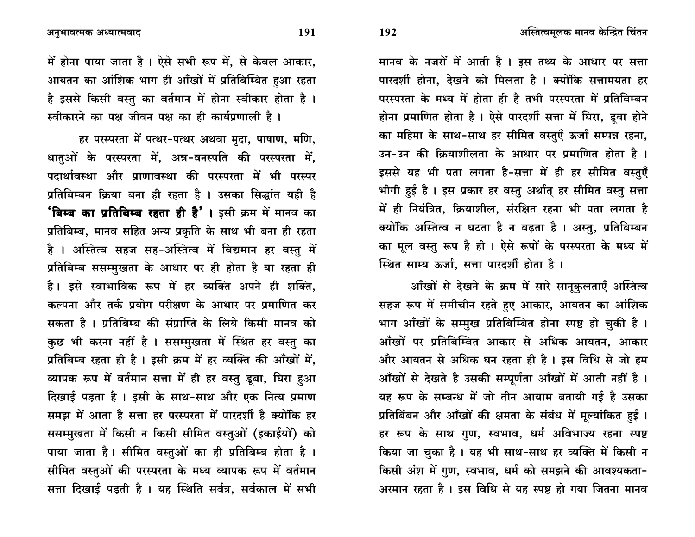अनुभावत्मक अध्यात्मवाद

में होना पाया जाता है। ऐसे सभी रूप में, से केवल आकार, आयतन का आंशिक भाग ही आँखों में प्रतिबिम्बित हुआ रहता है इससे किसी वस्तु का वर्तमान में होना स्वीकार होता है। स्वीकारने का पक्ष जीवन पक्ष का ही कार्यप्रणाली है।

हर परस्परता में पत्थर-पत्थर अथवा मृदा, पाषाण, मणि, धातुओं के परस्परता में, अन्न-वनस्पति की परस्परता में, पदार्थावस्था और प्राणावस्था की परस्परता में भी परस्पर प्रतिबिम्बन क्रिया बना ही रहता है । उसका सिद्धांत यही है **'बिम्ब का प्रतिबिम्ब रहता ही है'।** इसी क्रम में मानव का प्रतिबिम्ब, मानव सहित अन्य प्रकृति के साथ भी बना ही रहता है । अस्तित्व सहज सह-अस्तित्व में विद्यमान हर वस्तु में प्रतिबिम्ब ससम्मुखता के आधार पर ही होता है या रहता ही है। इसे स्वाभाविक रूप में हर व्यक्ति अपने ही शक्ति, कल्पना और तर्क प्रयोग परीक्षण के आधार पर प्रमाणित कर सकता है। प्रतिबिम्ब की संप्राप्ति के लिये किसी मानव को कुछ भी करना नहीं है । ससम्मुखता में स्थित हर वस्तु का प्रतिबिम्ब रहता ही है। इसी क्रम में हर व्यक्ति की आँखों में, व्यापक रूप में वर्तमान सत्ता में ही हर वस्तु डूबा, घिरा हुआ दिखाई पड़ता है । इसी के साथ-साथ और एक नित्य प्रमाण समझ में आता है सत्ता हर परस्परता में पारदर्शी है क्योंकि हर ससम्मुखता में किसी न किसी सीमित वस्तुओं (इकाईयों) को पाया जाता है। सीमित वस्तुओं का ही प्रतिबिम्ब होता है। सीमित वस्तुओं की परस्परता के मध्य व्यापक रूप में वर्तमान सत्ता दिखाई पड़ती है । यह स्थिति सर्वत्र, सर्वकाल में सभी

मानव के नजरों में आती है। इस तथ्य के आधार पर सत्ता पारदर्शी होना, देखने को मिलता है। क्योंकि सत्तामयता हर परस्परता के मध्य में होता ही है तभी परस्परता में प्रतिबिम्बन होना प्रमाणित होता है। ऐसे पारदर्शी सत्ता में घिरा, डूबा होने का महिमा के साथ-साथ हर सीमित वस्तुएँ ऊर्जा सम्पन्न रहना, उन-उन की क्रियाशीलता के आधार पर प्रमाणित होता है । इससे यह भी पता लगता है-सत्ता में ही हर सीमित वस्तुएँ भीगी हुई है। इस प्रकार हर वस्तु अर्थात् हर सीमित वस्तु सत्ता में ही नियंत्रित, क्रियाशील, संरक्षित रहना भी पता लगता है क्योंकि अस्तित्व न घटता है न बढ़ता है । अस्तु, प्रतिबिम्बन का मूल वस्तु रूप है ही। ऐसे रूपों के परस्परता के मध्य में स्थित साम्य ऊर्जा. सत्ता पारदर्शी होता है।

आँखों से देखने के क्रम में सारे सानूकुलताएँ अस्तित्व सहज रूप में समीचीन रहते हुए आकार, आयतन का आंशिक भाग आँखों के सम्मुख प्रतिबिम्बित होना स्पष्ट हो चुकी है। आँखों पर प्रतिबिम्बित आकार से अधिक आयतन, आकार और आयतन से अधिक घन रहता ही है। इस विधि से जो हम आँखों से देखते है उसकी सम्पूर्णता आँखों में आती नहीं है । यह रूप के सम्बन्ध में जो तीन आयाम बतायी गई है उसका प्रतिबिंबन और आँखों की क्षमता के संबंध में मूल्यांकित हुई। हर रूप के साथ गुण, स्वभाव, धर्म अविभाज्य रहना स्पष्ट किया जा चुका है। यह भी साथ-साथ हर व्यक्ति में किसी न किसी अंश में गुण, स्वभाव, धर्म को समझने की आवश्यकता-अरमान रहता है । इस विधि से यह स्पष्ट हो गया जितना मानव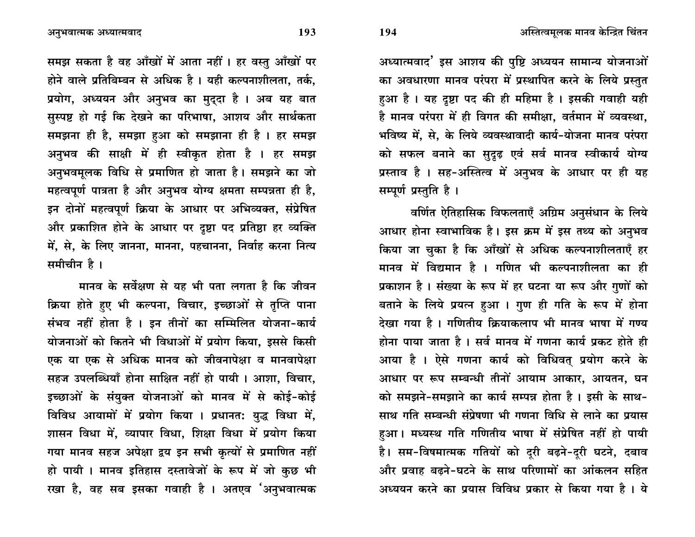अध्यात्मवाद' इस आशय की पुष्टि अध्ययन सामान्य योजनाओं का अवधारणा मानव परंपरा में प्रस्थापित करने के लिये प्रस्तुत हुआ है। यह दृष्टा पद की ही महिमा है। इसकी गवाही यही है मानव परंपरा में ही विगत की समीक्षा. वर्तमान में व्यवस्था. भविष्य में. से. के लिये व्यवस्थावादी कार्य-योजना मानव परंपरा को सफल बनाने का सुदृढ़ एवं सर्व मानव स्वीकार्य योग्य प्रस्ताव है । सह-अस्तित्व में अनुभव के आधार पर ही यह सम्पूर्ण प्रस्तुति है।

वर्णित ऐतिहासिक विफलताएँ अग्रिम अनुसंधान के लिये आधार होना स्वाभाविक है। इस क्रम में इस तथ्य को अनुभव किया जा चुका है कि आँखों से अधिक कल्पनाशीलताएँ हर मानव में विद्यमान है । गणित भी कल्पनाशीलता का ही प्रकाशन है। संख्या के रूप में हर घटना या रूप और गुणों को बताने के लिये प्रयत्न हुआ। गुण ही गति के रूप में होना टेखा गया है। गणितीय क्रियाकलाप भी मानव भाषा में गण्य होना पाया जाता है। सर्व मानव में गणना कार्य प्रकट होते ही आया है । ऐसे गणना कार्य को विधिवत् प्रयोग करने के आधार पर रूप सम्बन्धी तीनों आयाम आकार, आयतन, घन को समझने-समझाने का कार्य सम्पन्न होता है। इसी के साथ-साथ गति सम्बन्धी संप्रेषणा भी गणना विधि से लाने का प्रयास हुआ। मध्यस्थ गति गणितीय भाषा में संप्रेषित नहीं हो पायी है। सम-विषमात्मक गतियों को दुरी बढ़ने-दुरी घटने, दबाव और प्रवाह बढने-घटने के साथ परिणामों का आंकलन सहित अध्ययन करने का प्रयास विविध प्रकार से किया गया है। ये

अनुभवात्मक अध्यात्मवाद

समझ सकता है वह आँखों में आता नहीं । हर वस्तु आँखों पर होने वाले प्रतिबिम्बन से अधिक है। यही कल्पनाशीलता, तर्क, प्रयोग, अध्ययन और अनुभव का मुदुदा है । अब यह बात सुस्पष्ट हो गई कि देखने का परिभाषा, आशय और सार्थकता समझना ही है, समझा हुआ को समझाना ही है। हर समझ अनुभव की साक्षी में ही स्वीकृत होता है । हर समझ अनुभवमूलक विधि से प्रमाणित हो जाता है। समझने का जो महत्वपूर्ण पात्रता है और अनुभव योग्य क्षमता सम्पन्नता ही है. इन दोनों महत्वपूर्ण क्रिया के आधार पर अभिव्यक्त, संप्रेषित और प्रकाशित होने के आधार पर दूष्टा पद प्रतिष्ठा हर व्यक्ति में, से, के लिए जानना, मानना, पहचानना, निर्वाह करना नित्य समीचीन है।

मानव के सर्वेक्षण से यह भी पता लगता है कि जीवन क्रिया होते हुए भी कल्पना, विचार, इच्छाओं से तृप्ति पाना संभव नहीं होता है । इन तीनों का सम्मिलित योजना-कार्य योजनाओं को कितने भी विधाओं में प्रयोग किया, इससे किसी एक या एक से अधिक मानव को जीवनापेक्षा व मानवापेक्षा सहज उपलब्धियाँ होना साक्षित नहीं हो पायी। आशा, विचार, इच्छाओं के संयुक्त योजनाओं को मानव में से कोई-कोई विविध आयामों में प्रयोग किया । प्रधानत: युद्ध विधा में, शासन विधा में, व्यापार विधा, शिक्षा विधा में प्रयोग किया गया मानव सहज अपेक्षा द्वय इन सभी कृत्यों से प्रमाणित नहीं हो पायी । मानव इतिहास दस्तावेजों के रूप में जो कुछ भी रखा है, वह सब इसका गवाही है । अतएव 'अनुभवात्मक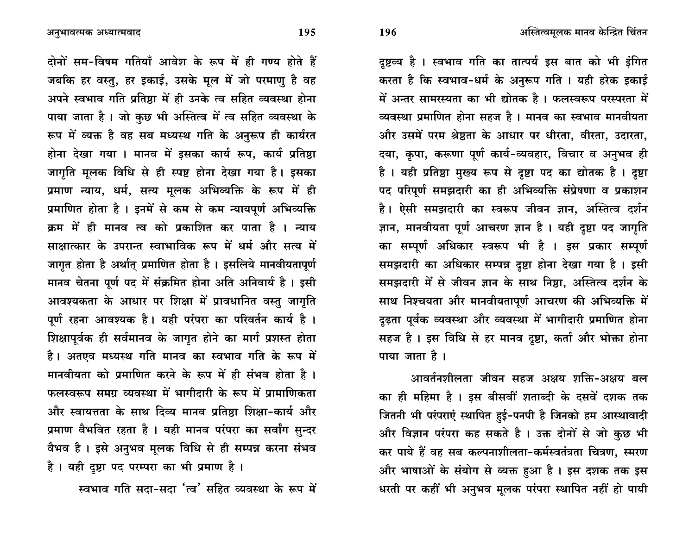दृष्टव्य है । स्वभाव गति का तात्पर्य इस बात को भी इंगित करता है कि स्वभाव-धर्म के अनुरूप गति । यही हरेक इकाई में अन्तर सामरस्यता का भी द्योतक है। फलस्वरूप परस्परता में व्यवस्था प्रमाणित होना सहज है। मानव का स्वभाव मानवीयता और उसमें परम श्रेष्ठता के आधार पर धीरता, वीरता, उदारता, दया, कृपा, करूणा पूर्ण कार्य-व्यवहार, विचार व अनुभव ही है। यही प्रतिष्ठा मुख्य रूप से दृष्टा पद का द्योतक है। दृष्टा पद परिपूर्ण समझदारी का ही अभिव्यक्ति संप्रेषणा व प्रकाशन है। ऐसी समझदारी का स्वरूप जीवन ज्ञान, अस्तित्व दर्शन ज्ञान, मानवीयता पूर्ण आचरण ज्ञान है । यही दृष्टा पद जागृति का सम्पूर्ण अधिकार स्वरूप भी है । इस प्रकार सम्पूर्ण समझदारी का अधिकार सम्पन्न दृष्टा होना देखा गया है। इसी समझदारी में से जीवन ज्ञान के साथ निष्ठा. अस्तित्व दर्शन के साथ निश्चयता और मानवीयतापूर्ण आचरण की अभिव्यक्ति में दृढता पूर्वक व्यवस्था और व्यवस्था में भागीदारी प्रमाणित होना सहज है। इस विधि से हर मानव दृष्टा, कर्ता और भोक्ता होना पाया जाता है ।

आवर्तनशीलता जीवन सहज अक्षय शक्ति-अक्षय बल का ही महिमा है । इस बीसवीं शताब्दी के दसवें दशक तक जितनी भी परंपराएं स्थापित हुई-पनपी है जिनको हम आस्थावादी और विज्ञान परंपरा कह सकते है। उक्त दोनों से जो कुछ भी कर पाये हैं वह सब कल्पनाशीलता-कर्मस्वतंत्रता चित्रण. स्मरण और भाषाओं के संयोग से व्यक्त हुआ है। इस दशक तक इस धरती पर कहीं भी अनुभव मूलक परंपरा स्थापित नहीं हो पायी

दोनों सम-विषम गतियाँ आवेश के रूप में ही गण्य होते हैं जबकि हर वस्तु, हर इकाई, उसके मूल में जो परमाणु है वह अपने स्वभाव गति प्रतिष्ठा में ही उनके त्व सहित व्यवस्था होना पाया जाता है। जो कुछ भी अस्तित्व में त्व सहित व्यवस्था के

रूप में व्यक्त है वह सब मध्यस्थ गति के अनुरूप ही कार्यरत होना देखा गया । मानव में इसका कार्य रूप, कार्य प्रतिष्ठा जागति मुलक विधि से ही स्पष्ट होना देखा गया है। इसका प्रमाण न्याय, धर्म, सत्य मूलक अभिव्यक्ति के रूप में ही प्रमाणित होता है। इनमें से कम से कम न्यायपूर्ण अभिव्यक्ति क्रम में ही मानव त्व को प्रकाशित कर पाता है । न्याय साक्षात्कार के उपरान्त स्वाभाविक रूप में धर्म और सत्य में जागृत होता है अर्थात् प्रमाणित होता है। इसलिये मानवीयतापूर्ण मानव चेतना पूर्ण पद में संक्रमित होना अति अनिवार्य है। इसी आवश्यकता के आधार पर शिक्षा में प्रावधानित वस्तु जागृति पूर्ण रहना आवश्यक है। यही परंपरा का परिवर्तन कार्य है। शिक्षापूर्वक ही सर्वमानव के जागृत होने का मार्ग प्रशस्त होता है। अतएव मध्यस्थ गति मानव का स्वभाव गति के रूप में मानवीयता को प्रमाणित करने के रूप में ही संभव होता है। फलस्वरूप समग्र व्यवस्था में भागीदारी के रूप में प्रामाणिकता और स्वायत्तता के साथ दिव्य मानव प्रतिष्ठा शिक्षा-कार्य और प्रमाण वैभवित रहता है । यही मानव परंपरा का सर्वांग सुन्दर वैभव है। इसे अनुभव मूलक विधि से ही सम्पन्न करना संभव है। यही दृष्टा पद परम्परा का भी प्रमाण है।

स्वभाव गति सदा-सदा 'त्व' सहित व्यवस्था के रूप में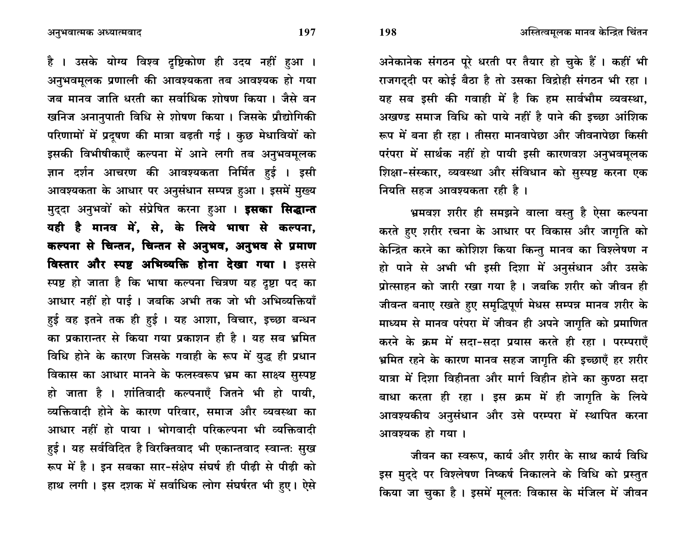अनेकानेक संगठन पूरे धरती पर तैयार हो चुके हैं । कहीं भी राजगददी पर कोई बैठा है तो उसका विद्रोही संगठन भी रहा। यह सब इसी की गवाही में है कि हम सार्वभौम व्यवस्था. अखण्ड समाज विधि को पाये नहीं है पाने की इच्छा आंशिक रूप में बना ही रहा । तीसरा मानवापेछा और जीवनापेछा किसी परंपरा में सार्थक नहीं हो पायी इसी कारणवश अनुभवमूलक शिक्षा-संस्कार, व्यवस्था और संविधान को सुस्पष्ट करना एक नियति सहज आवश्यकता रही है।

भ्रमवश शरीर ही समझने वाला वस्तु है ऐसा कल्पना करते हुए शरीर रचना के आधार पर विकास और जागृति को केन्द्रित करने का कोशिश किया किन्तु मानव का विश्लेषण न हो पाने से अभी भी इसी दिशा में अनुसंधान और उसके प्रोत्साहन को जारी रखा गया है । जबकि शरीर को जीवन ही जीवन्त बनाए रखते हुए समृद्धिपूर्ण मेधस सम्पन्न मानव शरीर के माध्यम से मानव परंपरा में जीवन ही अपने जागृति को प्रमाणित करने के क्रम में सदा-सदा प्रयास करते ही रहा । परम्पराएँ भ्रमित रहने के कारण मानव सहज जागृति की इच्छाएँ हर शरीर यात्रा में दिशा विहीनता और मार्ग विहीन होने का कुण्ठा सदा बाधा करता ही रहा । इस क्रम में ही जागृति के लिये आवश्यकीय अनुसंधान और उसे परम्परा में स्थापित करना आवश्यक हो गया।

जीवन का स्वरूप, कार्य और शरीर के साथ कार्य विधि इस मुद्दे पर विश्लेषण निष्कर्ष निकालने के विधि को प्रस्तुत किया जा चुका है। इसमें मूलतः विकास के मंजिल में जीवन

अनुभवात्मक अध्यात्मवाद

है । उसके योग्य विश्व दृष्टिकोण ही उदय नहीं हुआ । अनुभवमुलक प्रणाली की आवश्यकता तब आवश्यक हो गया जब मानव जाति धरती का सर्वाधिक शोषण किया । जैसे वन खनिज अनानुपाती विधि से शोषण किया। जिसके प्रौद्योगिकी परिणामों में प्रदुषण की मात्रा बढ़ती गई। कुछ मेधावियों को इसकी विभीषीकाएँ कल्पना में आने लगी तब अनुभवमूलक ज्ञान दर्शन आचरण की आवश्यकता निर्मित हुई । इसी आवश्यकता के आधार पर अनुसंधान सम्पन्न हुआ। इसमें मुख्य मुददा अनुभवों को संप्रेषित करना हुआ । **इसका सिद्धान्त** यही है मानव में, से, के लिये भाषा से कल्पना, कल्पना से चिन्तन, चिन्तन से अनुभव, अनुभव से प्रमाण विस्तार और स्पष्ट अभिव्यक्ति होना देखा गया । इससे स्पष्ट हो जाता है कि भाषा कल्पना चित्रण यह दृष्टा पद का आधार नहीं हो पाई। जबकि अभी तक जो भी अभिव्यक्तियाँ हुई वह इतने तक ही हुई । यह आशा, विचार, इच्छा बन्धन का प्रकारान्तर से किया गया प्रकाशन ही है । यह सब भ्रमित विधि होने के कारण जिसके गवाही के रूप में युद्ध ही प्रधान विकास का आधार मानने के फलस्वरूप भ्रम का साक्ष्य सुस्पष्ट हो जाता है । शांतिवादी कल्पनाएँ जितने भी हो पायी, व्यक्तिवादी होने के कारण परिवार, समाज और व्यवस्था का आधार नहीं हो पाया । भोगवादी परिकल्पना भी व्यक्तिवादी हई। यह सर्वविदित है विरक्तिवाद भी एकान्तवाद स्वान्तः सुख रूप में है। इन सबका सार-संक्षेप संघर्ष ही पीढी से पीढी को हाथ लगी। इस दशक में सर्वाधिक लोग संघर्षरत भी हए। ऐसे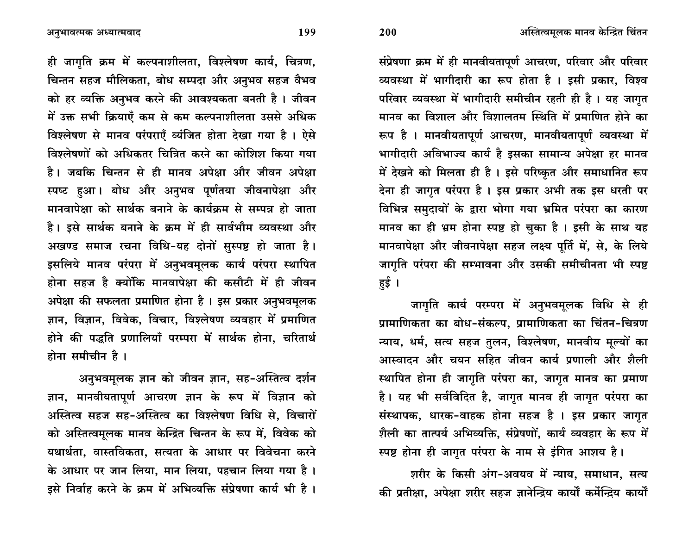200

ही जागृति क्रम में कल्पनाशीलता, विश्लेषण कार्य, चित्रण, चिन्तन सहज मौलिकता, बोध सम्पदा और अनुभव सहज वैभव को हर व्यक्ति अनुभव करने की आवश्यकता बनती है। जीवन में उक्त सभी क्रियाएँ कम से कम कल्पनाशीलता उससे अधिक विश्लेषण से मानव परंपराएँ व्यंजित होता देखा गया है। ऐसे विश्लेषणों को अधिकतर चित्रित करने का कोशिश किया गया है। जबकि चिन्तन से ही मानव अपेक्षा और जीवन अपेक्षा स्पष्ट हआ। बोध और अनुभव पूर्णतया जीवनापेक्षा और मानवापेक्षा को सार्थक बनाने के कार्यकम से सम्पन्न हो जाता है। इसे सार्थक बनाने के क्रम में ही सार्वभौम व्यवस्था और अखण्ड समाज रचना विधि-यह दोनों सुस्पष्ट हो जाता है। इसलिये मानव परंपरा में अनुभवमूलक कार्य परंपरा स्थापित होना सहज है क्योंकि मानवापेक्षा की कसौटी में ही जीवन अपेक्षा की सफलता प्रमाणित होना है। इस प्रकार अनुभवमूलक ज्ञान, विज्ञान, विवेक, विचार, विश्लेषण व्यवहार में प्रमाणित होने की पद्धति प्रणालियाँ परम्परा में सार्थक होना. चरितार्थ होना समीचीन है।

अनुभवमूलक ज्ञान को जीवन ज्ञान, सह-अस्तित्व दर्शन ज्ञान, मानवीयतापूर्ण आचरण ज्ञान के रूप में विज्ञान को अस्तित्व सहज सह-अस्तित्व का विश्लेषण विधि से, विचारों को अस्तित्वमुलक मानव केन्द्रित चिन्तन के रूप में, विवेक को यथार्थता. वास्तविकता. सत्यता के आधार पर विवेचना करने के आधार पर जान लिया, मान लिया, पहचान लिया गया है। इसे निर्वाह करने के क्रम में अभिव्यक्ति संप्रेषणा कार्य भी है।

संप्रेषणा क्रम में ही मानवीयतापूर्ण आचरण, परिवार और परिवार व्यवस्था में भागीदारी का रूप होता है । इसी प्रकार, विश्व परिवार व्यवस्था में भागीदारी समीचीन रहती ही है। यह जागृत मानव का विशाल और विशालतम स्थिति में प्रमाणित होने का रूप है । मानवीयतापूर्ण आचरण, मानवीयतापूर्ण व्यवस्था में भागीदारी अविभाज्य कार्य है इसका सामान्य अपेक्षा हर मानव में देखने को मिलता ही है। इसे परिष्कृत और समाधानित रूप देना ही जागत परंपरा है । इस प्रकार अभी तक इस धरती पर विभिन्न समुदायों के द्वारा भोगा गया भ्रमित परंपरा का कारण मानव का ही भ्रम होना स्पष्ट हो चुका है। इसी के साथ यह मानवापेक्षा और जीवनापेक्षा सहज लक्ष्य पूर्ति में, से, के लिये जागृति परंपरा की सम्भावना और उसकी समीचीनता भी स्पष्ट हई ।

जागृति कार्य परम्परा में अनुभवमूलक विधि से ही प्रामाणिकता का बोध-संकल्प, प्रामाणिकता का चिंतन-चित्रण न्याय, धर्म, सत्य सहज तुलन, विश्लेषण, मानवीय मूल्यों का आस्वादन और चयन सहित जीवन कार्य प्रणाली और शैली स्थापित होना ही जागृति परंपरा का, जागृत मानव का प्रमाण है। यह भी सर्वविदित है, जागृत मानव ही जागृत परंपरा का संस्थापक, धारक-वाहक होना सहज है। इस प्रकार जागृत शैली का तात्पर्य अभिव्यक्ति, संप्रेषणों, कार्य व्यवहार के रूप में स्पष्ट होना ही जागृत परंपरा के नाम से इंगित आशय है।

शरीर के किसी अंग-अवयव में न्याय, समाधान, सत्य की प्रतीक्षा. अपेक्षा शरीर सहज ज्ञानेन्द्रिय कार्यों कर्मेन्द्रिय कार्यों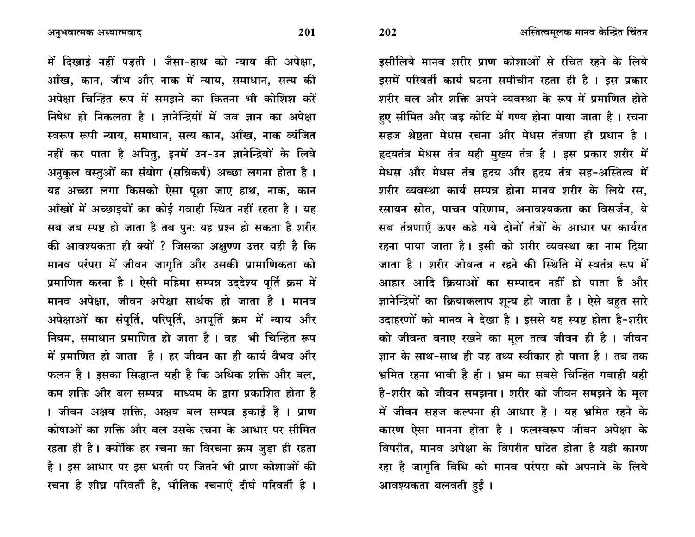अनुभवात्मक अध्यात्मवाद

में दिखाई नहीं पडती । जैसा-हाथ को न्याय की अपेक्षा. आँख, कान, जीभ और नाक में न्याय, समाधान, सत्य की अपेक्षा चिन्हित रूप में समझने का कितना भी कोशिश करें निषेध ही निकलता है । ज्ञानेन्द्रियों में जब ज्ञान का अपेक्षा स्वरूप रूपी न्याय, समाधान, सत्य कान, आँख, नाक व्यंजित नहीं कर पाता है अपितु, इनमें उन-उन ज्ञानेन्द्रियों के लिये अनुकुल वस्तुओं का संयोग (सन्निकर्ष) अच्छा लगना होता है। यह अच्छा लगा किसको ऐसा पूछा जाए हाथ, नाक, कान आँखों में अच्छाइयों का कोई गवाही स्थित नहीं रहता है। यह सब जब स्पष्ट हो जाता है तब पुनः यह प्रश्न हो सकता है शरीर की आवश्यकता ही क्यों ? जिसका अक्षुण्ण उत्तर यही है कि मानव परंपरा में जीवन जागृति और उसकी प्रामाणिकता को प्रमाणित करना है । ऐसी महिमा सम्पन्न उददेश्य पूर्ति क्रम में मानव अपेक्षा. जीवन अपेक्षा सार्थक हो जाता है । मानव अपेक्षाओं का संपर्ति, परिपर्ति, आपर्ति क्रम में न्याय और नियम. समाधान प्रमाणित हो जाता है । वह भी चिन्हित रूप में प्रमाणित हो जाता है । हर जीवन का ही कार्य वैभव और फलन है। इसका सिद्धान्त यही है कि अधिक शक्ति और बल, कम शक्ति और बल सम्पन्न माध्यम के द्रारा प्रकाशित होता है । जीवन अक्षय शक्ति, अक्षय बल सम्पन्न इकाई है । प्राण कोषाओं का शक्ति और बल उसके रचना के आधार पर सीमित रहता ही है। क्योंकि हर रचना का विरचना क्रम जुड़ा ही रहता है। इस आधार पर इस धरती पर जितने भी प्राण कोशाओं की रचना है शीघ्र परिवर्ती है, भौतिक रचनाएँ दीर्घ परिवर्ती है ।

इसीलिये मानव शरीर प्राण कोशाओं से रचित रहने के लिये इसमें परिवर्ती कार्य घटना समीचीन रहता ही है । इस प्रकार शरीर बल और शक्ति अपने व्यवस्था के रूप में प्रमाणित होते हए सीमित और जड कोटि में गण्य होना पाया जाता है। रचना सहज श्रेष्ठता मेधस रचना और मेधस तंत्रणा ही प्रधान है । हृदयतंत्र मेधस तंत्र यही मुख्य तंत्र है । इस प्रकार शरीर में मेधस और मेधस तंत्र हृदय और हृदय तंत्र सह-अस्तित्व में शरीर व्यवस्था कार्य सम्पन्न होना मानव शरीर के लिये रस. रसायन स्रोत, पाचन परिणाम, अनावश्यकता का विसर्जन, ये सब तंत्रणाएँ ऊपर कहे गये दोनों तंत्रों के आधार पर कार्यरत रहना पाया जाता है। इसी को शरीर व्यवस्था का नाम दिया जाता है। शरीर जीवन्त न रहने की स्थिति में स्वतंत्र रूप में आहार आदि क्रियाओं का सम्पादन नहीं हो पाता है और ज्ञानेन्द्रियों का क्रियाकलाप शून्य हो जाता है। ऐसे बहत सारे उदाहरणों को मानव ने देखा है। इससे यह स्पष्ट होता है-शरीर को जीवन्त बनाए रखने का मूल तत्व जीवन ही है। जीवन ज्ञान के साथ-साथ ही यह तथ्य स्वीकार हो पाता है। तब तक भ्रमित रहना भावी है ही । भ्रम का सबसे चिन्हित गवाही यही है-शरीर को जीवन समझना। शरीर को जीवन समझने के मुल में जीवन सहज कल्पना ही आधार है । यह भ्रमित रहने के कारण ऐसा मानना होता है । फलस्वरूप जीवन अपेक्षा के विपरीत. मानव अपेक्षा के विपरीत घटित होता है यही कारण रहा है जागृति विधि को मानव परंपरा को अपनाने के लिये आवश्यकता बलवती हुई।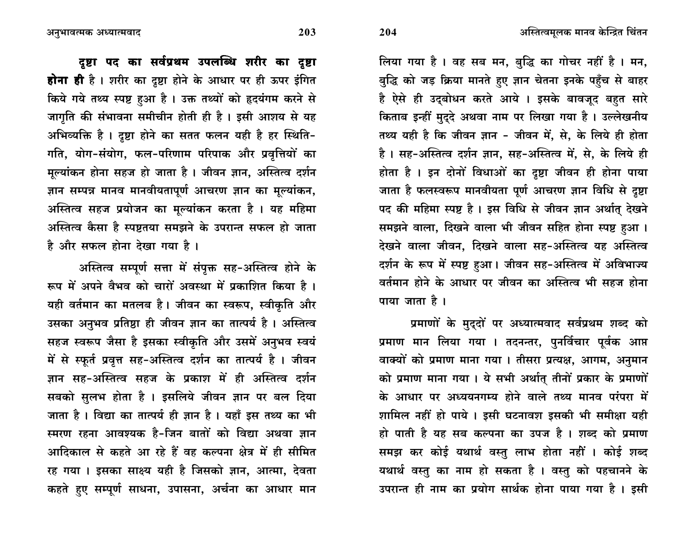लिया गया है। वह सब मन, बुद्धि का गोचर नहीं है। मन, बुद्धि को जड़ क्रिया मानते हुए ज्ञान चेतना इनके पहुँच से बाहर है ऐसे ही उदुबोधन करते आये । इसके बावजूद बहत सारे किताब इन्हीं मुदुदे अथवा नाम पर लिखा गया है। उल्लेखनीय तथ्य यही है कि जीवन ज्ञान - जीवन में, से, के लिये ही होता है। सह-अस्तित्व दर्शन ज्ञान, सह-अस्तित्व में, से, के लिये ही होता है । इन दोनों विधाओं का दृष्टा जीवन ही होना पाया जाता है फलस्वरूप मानवीयता पूर्ण आचरण ज्ञान विधि से दृष्टा पद की महिमा स्पष्ट है। इस विधि से जीवन ज्ञान अर्थात् देखने समझने वाला, दिखने वाला भी जीवन सहित होना स्पष्ट हुआ। देखने वाला जीवन. दिखने वाला सह-अस्तित्व यह अस्तित्व दर्शन के रूप में स्पष्ट हुआ। जीवन सह-अस्तित्व में अविभाज्य वर्तमान होने के आधार पर जीवन का अस्तित्व भी सहज होना पाया जाता है।

प्रमाणों के मुद्दों पर अध्यात्मवाद सर्वप्रथम शब्द को प्रमाण मान लिया गया । तदनन्तर, पुनर्विचार पूर्वक आप्त वाक्यों को प्रमाण माना गया । तीसरा प्रत्यक्ष, आगम, अनुमान को प्रमाण माना गया। ये सभी अर्थात् तीनों प्रकार के प्रमाणों के आधार पर अध्ययनगम्य होने वाले तथ्य मानव परंपरा में शामिल नहीं हो पाये । इसी घटनावश इसकी भी समीक्षा यही हो पाती है यह सब कल्पना का उपज है। शब्द को प्रमाण समझ कर कोई यथार्थ वस्तु लाभ होता नहीं । कोई शब्द यथार्थ वस्तु का नाम हो सकता है । वस्तु को पहचानने के उपरान्त ही नाम का प्रयोग सार्थक होना पाया गया है। इसी

203

204

दृष्टा पद का सर्वप्रथम उपलब्धि शरीर का दृष्टा होना ही है। शरीर का दूष्टा होने के आधार पर ही ऊपर इंगित किये गये तथ्य स्पष्ट हुआ है। उक्त तथ्यों को हृदयंगम करने से जागृति की संभावना समीचीन होती ही है। इसी आशय से यह अभिव्यक्ति है। दृष्टा होने का सतत फलन यही है हर स्थिति-गति, योग-संयोग, फल-परिणाम परिपाक और प्रवृत्तियों का मुल्यांकन होना सहज हो जाता है। जीवन ज्ञान, अस्तित्व दर्शन ज्ञान सम्पन्न मानव मानवीयतापूर्ण आचरण ज्ञान का मुल्यांकन, अस्तित्व सहज प्रयोजन का मूल्यांकन करता है। यह महिमा अस्तित्व कैसा है स्पष्टतया समझने के उपरान्त सफल हो जाता है और सफल होना देखा गया है।

अस्तित्व सम्पूर्ण सत्ता में संपुक्त सह-अस्तित्व होने के रूप में अपने वैभव को चारों अवस्था में प्रकाशित किया है। यही वर्तमान का मतलब है। जीवन का स्वरूप, स्वीकृति और उसका अनुभव प्रतिष्ठा ही जीवन ज्ञान का तात्पर्य है। अस्तित्व सहज स्वरूप जैसा है इसका स्वीकृति और उसमें अनुभव स्वयं में से स्फूर्त प्रवृत्त सह-अस्तित्व दर्शन का तात्पर्य है । जीवन ज्ञान सह-अस्तित्व सहज के प्रकाश में ही अस्तित्व दर्शन सबको सुलभ होता है । इसलिये जीवन ज्ञान पर बल दिया जाता है। विद्या का तात्पर्य ही ज्ञान है। यहाँ इस तथ्य का भी स्मरण रहना आवश्यक है-जिन बातों को विद्या अथवा ज्ञान आदिकाल से कहते आ रहे हैं वह कल्पना क्षेत्र में ही सीमित रह गया । इसका साक्ष्य यही है जिसको ज्ञान, आत्मा, देवता कहते हुए सम्पूर्ण साधना, उपासना, अर्चना का आधार मान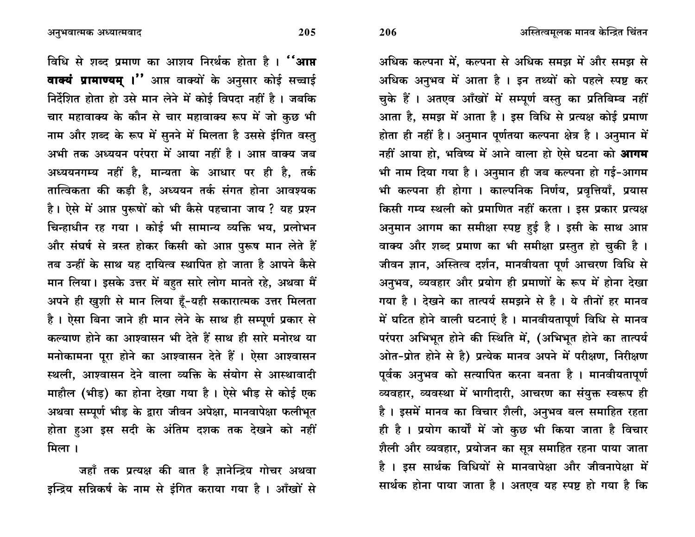अधिक कल्पना में, कल्पना से अधिक समझ में और समझ से अधिक अनुभव में आता है। इन तथ्यों को पहले स्पष्ट कर चुके हैं । अतएव आँखों में सम्पूर्ण वस्तु का प्रतिबिम्ब नहीं आता है, समझ में आता है। इस विधि से प्रत्यक्ष कोई प्रमाण होता ही नहीं है। अनुमान पूर्णतया कल्पना क्षेत्र है। अनुमान में नहीं आया हो, भविष्य में आने वाला हो ऐसे घटना को **आगम** भी नाम दिया गया है । अनुमान ही जब कल्पना हो गई-आगम भी कल्पना ही होगा । काल्पनिक निर्णय, प्रवृत्तियाँ, प्रयास किसी गम्य स्थली को प्रमाणित नहीं करता । इस प्रकार प्रत्यक्ष अनुमान आगम का समीक्षा स्पष्ट हुई है । इसी के साथ आप्त वाक्य और शब्द प्रमाण का भी समीक्षा प्रस्तुत हो चुकी है। जीवन ज्ञान, अस्तित्व दर्शन, मानवीयता पूर्ण आचरण विधि से अनुभव, व्यवहार और प्रयोग ही प्रमाणों के रूप में होना देखा गया है। देखने का तात्पर्य समझने से है। ये तीनों हर मानव में घटित होने वाली घटनाएं है। मानवीयतापूर्ण विधि से मानव परंपरा अभिभूत होने की स्थिति में, (अभिभूत होने का तात्पर्य ओत-प्रोत होने से है) प्रत्येक मानव अपने में परीक्षण, निरीक्षण पूर्वक अनुभव को सत्यापित करना बनता है । मानवीयतापूर्ण व्यवहार, व्यवस्था में भागीदारी, आचरण का संयुक्त स्वरूप ही है। इसमें मानव का विचार शैली, अनुभव बल समाहित रहता ही है। प्रयोग कार्यों में जो कुछ भी किया जाता है विचार शैली और व्यवहार, प्रयोजन का सूत्र समाहित रहना पाया जाता है । इस सार्थक विधियों से मानवापेक्षा और जीवनापेक्षा में सार्थक होना पाया जाता है। अतएव यह स्पष्ट हो गया है कि

विधि से शब्द प्रमाण का आशय निरर्थक होता है। "आ**प्त** वाक्यं प्रामाण्यम् ।" आप्त वाक्यों के अनुसार कोई सच्चाई निर्देशित होता हो उसे मान लेने में कोई विपदा नहीं है। जबकि चार महावाक्य के कौन से चार महावाक्य रूप में जो कुछ भी नाम और शब्द के रूप में सुनने में मिलता है उससे इंगित वस्तु अभी तक अध्ययन परंपरा में आया नहीं है । आप्त वाक्य जब अध्ययनगम्य नहीं है, मान्यता के आधार पर ही है, तर्क तात्विकता की कडी है, अध्ययन तर्क संगत होना आवश्यक है। ऐसे में आप्त पुरूषों को भी कैसे पहचाना जाय ? यह प्रश्न चिन्हाधीन रह गया । कोई भी सामान्य व्यक्ति भय, प्रलोभन और संघर्ष से त्रस्त होकर किसी को आप्त पुरूष मान लेते हैं तब उन्हीं के साथ यह दायित्व स्थापित हो जाता है आपने कैसे मान लिया। इसके उत्तर में बहुत सारे लोग मानते रहे, अथवा मैं अपने ही खुशी से मान लिया हूँ-यही सकारात्मक उत्तर मिलता है। ऐसा बिना जाने ही मान लेने के साथ ही सम्पूर्ण प्रकार से कल्याण होने का आश्वासन भी देते हैं साथ ही सारे मनोरथ या मनोकामना पूरा होने का आश्वासन देते हैं । ऐसा आश्वासन स्थली. आश्वासन देने वाला व्यक्ति के संयोग से आस्थावादी माहौल (भीड) का होना देखा गया है। ऐसे भीड़ से कोई एक अथवा सम्पूर्ण भीड़ के द्वारा जीवन अपेक्षा, मानवापेक्षा फलीभूत होता हुआ इस सदी के अंतिम दशक तक देखने को नहीं

जहाँ तक प्रत्यक्ष की बात है ज्ञानेन्द्रिय गोचर अथवा इन्द्रिय सन्निकर्ष के नाम से इंगित कराया गया है। आँखों से

मिला ।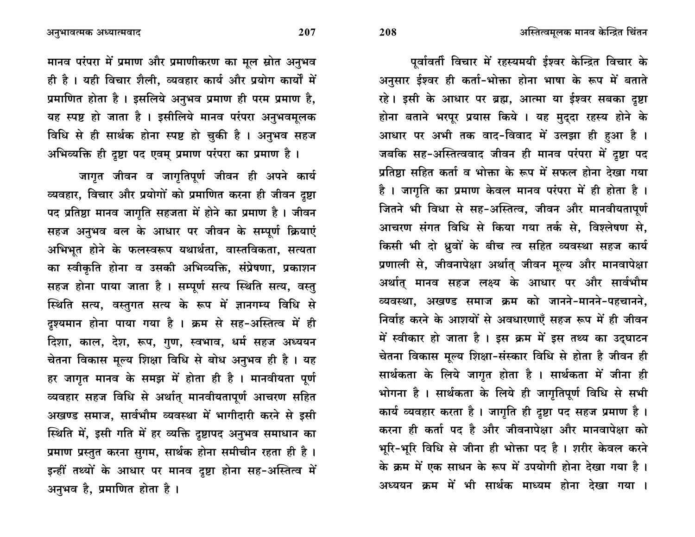पूर्वावर्ती विचार में रहस्यमयी ईश्वर केन्द्रित विचार के अनुसार ईश्वर ही कर्ता-भोक्ता होना भाषा के रूप में बताते रहे। इसी के आधार पर ब्रह्म. आत्मा या ईश्वर सबका दृष्टा होना बताने भरपूर प्रयास किये । यह मुददा रहस्य होने के आधार पर अभी तक वाद-विवाद में उलझा ही हआ है । जबकि सह-अस्तित्ववाद जीवन ही मानव परंपरा में दृष्टा पद प्रतिष्ठा सहित कर्ता व भोक्ता के रूप में सफल होना देखा गया है। जागति का प्रमाण केवल मानव परंपरा में ही होता है। जितने भी विधा से सह-अस्तित्व, जीवन और मानवीयतापूर्ण आचरण संगत विधि से किया गया तर्क से, विश्लेषण से, किसी भी दो ध्रुवों के बीच त्व सहित व्यवस्था सहज कार्य प्रणाली से, जीवनापेक्षा अर्थात् जीवन मूल्य और मानवापेक्षा अर्थात मानव सहज लक्ष्य के आधार पर और सार्वभौम <u>व्यवस्था, अखण्ड समाज क्रम को जानने-मानने-पहचानने,</u> निर्वाह करने के आशयों से अवधारणाएँ सहज रूप में ही जीवन में स्वीकार हो जाता है। इस क्रम में इस तथ्य का उद्घाटन चेतना विकास मूल्य शिक्षा-संस्कार विधि से होता है जीवन ही सार्थकता के लिये जागृत होता है । सार्थकता में जीना ही भोगना है । सार्थकता के लिये ही जागृतिपूर्ण विधि से सभी कार्य व्यवहार करता है। जागृति ही दृष्टा पद सहज प्रमाण है। करना ही कर्ता पद है और जीवनापेक्षा और मानवापेक्षा **को** भूरि-भूरि विधि से जीना ही भोक्ता पद है। शरीर केवल करने के क्रम में एक साधन के रूप में उपयोगी होना देखा गया है। अध्ययन क्रम में भी सार्थक माध्यम होना देखा गया ।

मानव परंपरा में प्रमाण और प्रमाणीकरण का मूल स्रोत अनुभव ही है। यही विचार शैली, व्यवहार कार्य और प्रयोग कार्यों में प्रमाणित होता है। इसलिये अनुभव प्रमाण ही परम प्रमाण है, यह स्पष्ट हो जाता है। इसीलिये मानव परंपरा अनुभवमूलक विधि से ही सार्थक होना स्पष्ट हो चुकी है । अनुभव सहज अभिव्यक्ति ही दृष्टा पद एवम् प्रमाण परंपरा का प्रमाण है।

जागृत जीवन व जागृतिपूर्ण जीवन ही अपने **कार्य** व्यवहार, विचार और प्रयोगों को प्रमाणित करना ही जीवन दूष्टा पद प्रतिष्ठा मानव जागृति सहजता में होने का प्रमाण है। जीवन सहज अनुभव बल के आधार पर जीवन के सम्पूर्ण क्रियाएं अभिभूत होने के फलस्वरूप यथार्थता, वास्तविकता, सत्यता का स्वीकृति होना व उसकी अभिव्यक्ति, संप्रेषणा, प्रकाशन सहज होना पाया जाता है । सम्पूर्ण सत्य स्थिति सत्य, वस्तु स्थिति सत्य, वस्तुगत सत्य के रूप में ज्ञानगम्य विधि से दृश्यमान होना पाया गया है । क्रम से सह-अस्तित्व में ही दिशा, काल, देश, रूप, गुण, स्वभाव, धर्म सहज अध्ययन चेतना विकास मूल्य शिक्षा विधि से बोध अनुभव ही है । यह हर जागृत मानव के समझ में होता ही है । मानवीयता पूर्ण व्यवहार सहज विधि से अर्थात् मानवीयतापूर्ण आचरण सहित अखण्ड समाज, सार्वभौम व्यवस्था में भागीदारी करने से इसी स्थिति में, इसी गति में हर व्यक्ति दृष्टापद अनुभव समाधान का प्रमाण प्रस्तुत करना सुगम, सार्थक होना समीचीन रहता ही है। इन्हीं तथ्यों के आधार पर मानव दृष्टा होना सह-अस्तित्व में अनुभव है, प्रमाणित होता है ।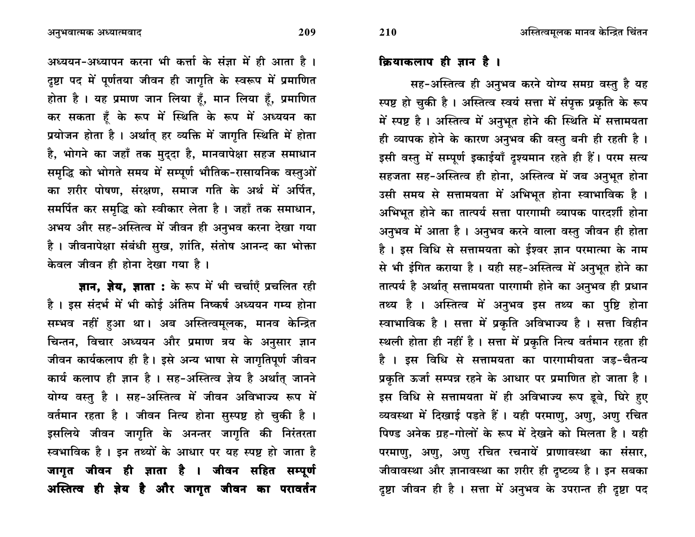अध्ययन-अध्यापन करना भी कर्त्ता के संज्ञा में ही आता है। दृष्टा पद में पूर्णतया जीवन ही जागृति के स्वरूप में प्रमाणित होता है। यह प्रमाण जान लिया हँ, मान लिया हँ, प्रमाणित कर सकता हैं के रूप में स्थिति के रूप में अध्ययन का प्रयोजन होता है। अर्थात् हर व्यक्ति में जागृति स्थिति में होता है, भोगने का जहाँ तक मुदुदा है, मानवापेक्षा सहज समाधान समृद्धि को भोगते समय में सम्पूर्ण भौतिक-रासायनिक वस्तुओं का शरीर पोषण, संरक्षण, समाज गति के अर्थ में अर्पित, समर्पित कर समृद्धि को स्वीकार लेता है। जहाँ तक समाधान, अभय और सह-अस्तित्व में जीवन ही अनुभव करना देखा गया है। जीवनापेक्षा संबंधी सुख, शांति, संतोष आनन्द का भोक्ता केवल जीवन ही होना देखा गया है।

**ज्ञान, ज़ेय, ज्ञाता :** के रूप में भी चर्चाएँ प्रचलित रही है। इस संदर्भ में भी कोई अंतिम निष्कर्ष अध्ययन गम्य होना सम्भव नहीं हुआ था। अब अस्तित्वमूलक, मानव केन्द्रित चिन्तन, विचार अध्ययन और प्रमाण त्रय के अनुसार ज्ञान जीवन कार्यकलाप ही है। इसे अन्य भाषा से जागृतिपूर्ण जीवन कार्य कलाप ही ज्ञान है। सह-अस्तित्व ज़ेय है अर्थात् जानने योग्य वस्तु है । सह-अस्तित्व में जीवन अविभाज्य रूप में वर्तमान रहता है । जीवन नित्य होना सुस्पष्ट हो चुकी है । इसलिये जीवन जागृति के अनन्तर जागृति की निरंतरता स्वभाविक है। इन तथ्यों के आधार पर यह स्पष्ट हो जाता है जागृत जीवन ही ज्ञाता है । जीवन सहित सम्पूर्ण अस्तित्व ही ज़ेय है और जागृत जीवन का परावर्तन

## क्रियाकलाप ही ज्ञान है ।

210

सह-अस्तित्व ही अनुभव करने योग्य समग्र वस्तु है यह स्पष्ट हो चुकी है। अस्तित्व स्वयं सत्ता में संपुक्त प्रकृति के रूप में स्पष्ट है। अस्तित्व में अनुभूत होने की स्थिति में सत्तामयता ही व्यापक होने के कारण अनुभव की वस्तु बनी ही रहती है। इसी वस्तु में सम्पूर्ण इकाईयाँ दृश्यमान रहते ही हैं। परम सत्य सहजता सह-अस्तित्व ही होना, अस्तित्व में जब अनुभूत होना उसी समय से सत्तामयता में अभिभूत होना स्वाभाविक है । अभिभूत होने का तात्पर्य सत्ता पारगामी व्यापक पारदर्शी होना अनुभव में आता है। अनुभव करने वाला वस्तु जीवन ही होता है। इस विधि से सत्तामयता को ईश्वर ज्ञान परमात्मा के नाम से भी इंगित कराया है। यही सह-अस्तित्व में अनुभूत होने का तात्पर्य है अर्थात् सत्तामयता पारगामी होने का अनुभव ही प्रधान तथ्य है । अस्तित्व में अनुभव इस तथ्य का पुष्टि होना स्वाभाविक है । सत्ता में प्रकृति अविभाज्य है । सत्ता विहीन स्थली होता ही नहीं है। सत्ता में प्रकृति नित्य वर्तमान रहता ही है । इस विधि से सत्तामयता का पारगामीयता जड़-चैतन्य प्रकृति ऊर्जा सम्पन्न रहने के आधार पर प्रमाणित हो जाता है। इस विधि से सत्तामयता में ही अविभाज्य रूप डूबे, घिरे हुए व्यवस्था में दिखाई पड़ते हैं। यही परमाणु, अणु, अणु रचित पिण्ड अनेक ग्रह-गोलों के रूप में देखने को मिलता है। यही परमाणु, अणु, अणु रचित रचनायें प्राणावस्था का संसार, जीवावस्था और ज्ञानावस्था का शरीर ही दृष्टव्य है । इन सबका दृष्टा जीवन ही है । सत्ता में अनुभव के उपरान्त ही दृष्टा पद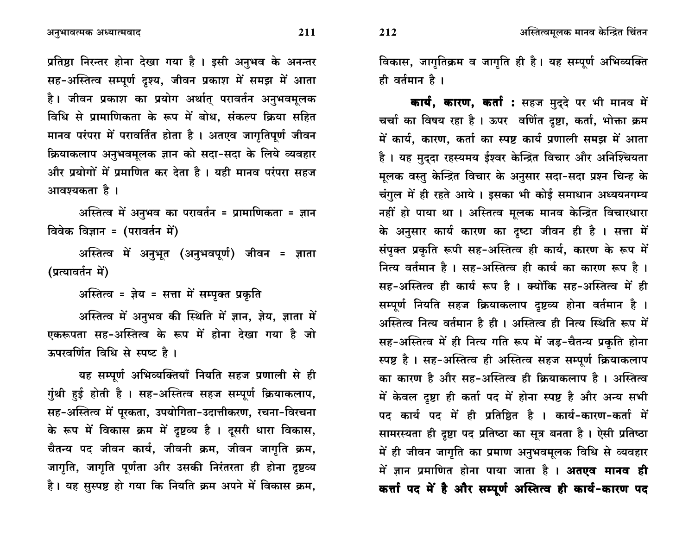अनुभावत्मक अध्यात्मवाद

प्रतिष्ठा निरन्तर होना देखा गया है । इसी अनुभव के अनन्तर सह-अस्तित्व सम्पूर्ण दृश्य, जीवन प्रकाश में समझ में आता है। जीवन प्रकाश का प्रयोग अर्थात् परावर्तन अनुभवमूलक विधि से प्रामाणिकता के रूप में बोध. संकल्प क्रिया सहित मानव परंपरा में परावर्तित होता है । अतएव जागृतिपूर्ण जीवन क्रियाकलाप अनुभवमूलक ज्ञान को सदा-सदा के लिये व्यवहार और प्रयोगों में प्रमाणित कर देता है। यही मानव परंपरा सहज आवश्यकता है ।

अस्तित्व में अनुभव का परावर्तन = प्रामाणिकता = ज्ञान विवेक विज्ञान = (परावर्तन में)

अस्तित्व में अनुभूत (अनुभवपूर्ण) जीवन = ज्ञाता (प्रत्यावर्तन में)

अस्तित्व = ज्ञेय = सत्ता में सम्पूक्त प्रकृति

अस्तित्व में अनुभव की स्थिति में ज्ञान, ज़ेय, ज्ञाता में एकरूपता सह-अस्तित्व के रूप में होना देखा गया है जो ऊपरवर्णित विधि से स्पष्ट है।

यह सम्पूर्ण अभिव्यक्तियाँ नियति सहज प्रणाली से ही गुंथी हुई होती है । सह-अस्तित्व सहज सम्पूर्ण क्रियाकलाप, सह-अस्तित्व में पूरकता, उपयोगिता-उदात्तीकरण, रचना-विरचना के रूप में विकास क्रम में दृष्टव्य है। दूसरी धारा विकास, चैतन्य पद जीवन कार्य, जीवनी क्रम, जीवन जागृति क्रम, जागृति, जागृति पूर्णता और उसकी निरंतरता ही होना दृष्टव्य है। यह सुस्पष्ट हो गया कि नियति क्रम अपने में विकास क्रम,

विकास, जागृतिक्रम व जागृति ही है। यह सम्पूर्ण अभिव्यक्ति ही वर्तमान है ।

कार्य, कारण, कर्ता : सहज मुद्दे पर भी मानव में चर्चा का विषय रहा है। ऊपर वर्णित दृष्टा, कर्ता, भोक्ता क्रम में कार्य, कारण, कर्ता का स्पष्ट कार्य प्रणाली समझ में आता है। यह मुद्दा रहस्यमय ईश्वर केन्द्रित विचार और अनिश्चियता मूलक वस्तु केन्द्रित विचार के अनुसार सदा-सदा प्रश्न चिन्ह के चंगुल में ही रहते आये। इसका भी कोई समाधान अध्ययनगम्य नहीं हो पाया था । अस्तित्व मुलक मानव केन्द्रित विचारधारा के अनुसार कार्य कारण का दृष्टा जीवन ही है । सत्ता में संपृक्त प्रकृति रूपी सह-अस्तित्व ही कार्य, कारण के रूप में नित्य वर्तमान है । सह-अस्तित्व ही कार्य का कारण रूप है । सह-अस्तित्व ही कार्य रूप है । क्योंकि सह-अस्तित्व में ही सम्पूर्ण नियति सहज क्रियाकलाप दृष्टव्य होना वर्तमान है । अस्तित्व नित्य वर्तमान है ही । अस्तित्व ही नित्य स्थिति रूप में सह-अस्तित्व में ही नित्य गति रूप में जड़-चैतन्य प्रकृति होना स्पष्ट है। सह-अस्तित्व ही अस्तित्व सहज सम्पूर्ण क्रियाकलाप का कारण है और सह-अस्तित्व ही क्रियाकलाप है। अस्तित्व में केवल दृष्टा ही कर्ता पद में होना स्पष्ट है और अन्य सभी पद कार्य पद में ही प्रतिष्ठित है । कार्य-कारण-कर्ता में सामरस्यता ही दृष्टा पद प्रतिष्ठा का सूत्र बनता है। ऐसी प्रतिष्ठा में ही जीवन जागृति का प्रमाण अनुभवमूलक विधि से व्यवहार में ज्ञान प्रमाणित होना पाया जाता है । **अतएव मानव ही** कर्त्ता पद में है और सम्पूर्ण अस्तित्व ही कार्य-कारण पद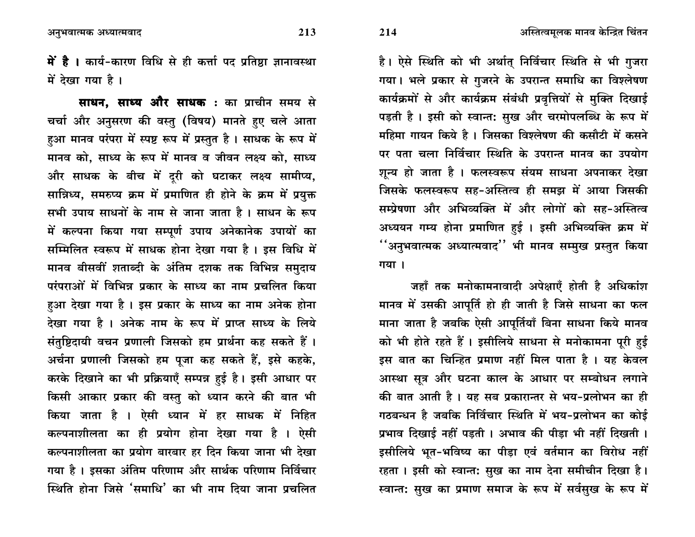**में है ।** कार्य-कारण विधि से ही कर्त्ता पद प्रतिष्ठा ज्ञानावस्था में देखा गया है।

**साधन, साध्य और साधक :** का प्राचीन समय से चर्चा और अनुसरण की वस्तु (विषय) मानते हुए चले आता हुआ मानव परंपरा में स्पष्ट रूप में प्रस्तुत है। साधक के रूप में मानव को, साध्य के रूप में मानव व जीवन लक्ष्य को, साध्य और साधक के बीच में दुरी को घटाकर लक्ष्य सामीप्य, सान्निध्य, समरुप्य क्रम में प्रमाणित ही होने के क्रम में प्रयुक्त सभी उपाय साधनों के नाम से जाना जाता है। साधन के रूप में कल्पना किया गया सम्पूर्ण उपाय अनेकानेक उपायों का सम्मिलित स्वरूप में साधक होना देखा गया है। इस विधि में मानव बीसवीं शताब्दी के अंतिम दशक तक विभिन्न समुदाय परंपराओं में विभिन्न प्रकार के साध्य का नाम प्रचलित किया हुआ देखा गया है। इस प्रकार के साध्य का नाम अनेक होना देखा गया है । अनेक नाम के रूप में प्राप्त साध्य के लिये संतुष्टिदायी वचन प्रणाली जिसको हम प्रार्थना कह सकते हैं। अर्चना प्रणाली जिसको हम पूजा कह सकते हैं, इसे कहके, करके दिखाने का भी प्रक्रियाएँ सम्पन्न हुई है। इसी आधार पर किसी आकार प्रकार की वस्तु को ध्यान करने की बात भी किया जाता है । ऐसी ध्यान में हर साधक में निहित कल्पनाशीलता का ही प्रयोग होना देखा गया है । ऐसी कल्पनाशीलता का प्रयोग बारबार हर दिन किया जाना भी देखा गया है। इसका अंतिम परिणाम और सार्थक परिणाम निर्विचार स्थिति होना जिसे 'समाधि' का भी नाम दिया जाना प्रचलित

है। ऐसे स्थिति को भी अर्थात् निर्विचार स्थिति से भी गुजरा गया। भले प्रकार से गुजरने के उपरान्त समाधि का विश्लेषण कार्यक्रमों से और कार्यक्रम संबंधी प्रवृत्तियों से मुक्ति दिखाई पड़ती है। इसी को स्वान्त: सुख और चरमोपलब्धि के रूप में महिमा गायन किये है। जिसका विश्लेषण की कसौटी में कसने पर पता चला निर्विचार स्थिति के उपरान्त मानव का उपयोग शुन्य हो जाता है । फलस्वरूप संयम साधना अपनाकर देखा जिसके फलस्वरूप सह-अस्तित्व ही समझ में आया जिसकी सम्प्रेषणा और अभिव्यक्ति में और लोगों को सह-अस्तित्व अध्ययन गम्य होना प्रमाणित हई । इसी अभिव्यक्ति क्रम में **''अनुभवात्मक अध्यात्मवाद'' भी मानव सम्मुख प्रस्तुत किया** गया।

जहाँ तक मनोकामनावादी अपेक्षाएँ होती है अधिकांश मानव में उसकी आपूर्ति हो ही जाती है जिसे साधना का फल माना जाता है जबकि ऐसी आपूर्तियाँ बिना साधना किये मानव को भी होते रहते हैं। इसीलिये साधना से मनोकामना पूरी हुई इस बात का चिन्हित प्रमाण नहीं मिल पाता है । यह केवल आस्था सूत्र और घटना काल के आधार पर सम्बोधन लगाने की बात आती है । यह सब प्रकारान्तर से भय-प्रलोभन का ही गठबन्धन है जबकि निर्विचार स्थिति में भय-प्रलोभन का कोई प्रभाव दिखाई नहीं पड़ती । अभाव की पीड़ा भी नहीं दिखती । इसीलिये भूत-भविष्य का पीड़ा एवं वर्तमान का विरोध नहीं रहता । इसी को स्वान्त: सुख का नाम देना समीचीन दिखा है। स्वान्त: सुख का प्रमाण समाज के रूप में सर्वसुख के रूप में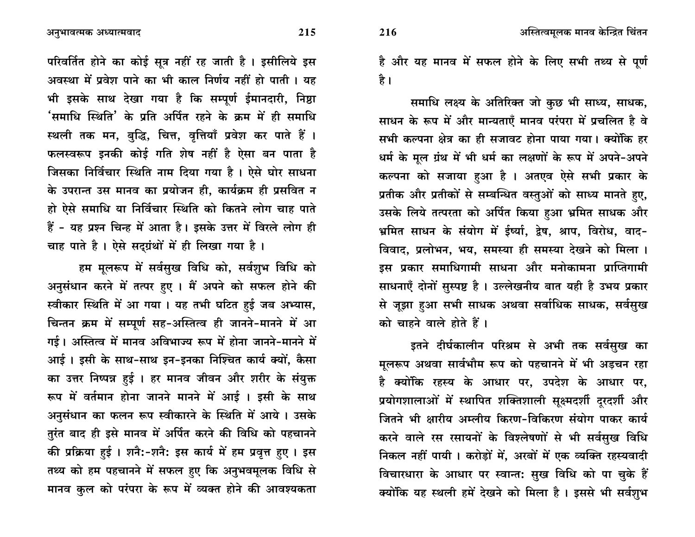परिवर्तित होने का कोई सूत्र नहीं रह जाती है। इसीलिये इस अवस्था में प्रवेश पाने का भी काल निर्णय नहीं हो पाती । यह भी इसके साथ देखा गया है कि सम्पूर्ण ईमानदारी, निष्ठा 'समाधि स्थिति' के प्रति अर्पित रहने के क्रम में ही समाधि स्थली तक मन, बुद्धि, चित्त, वृत्तियाँ प्रवेश कर पाते हैं । फलस्वरूप इनकी कोई गति शेष नहीं है ऐसा बन पाता है जिसका निर्विचार स्थिति नाम दिया गया है। ऐसे घोर साधना के उपरान्त उस मानव का प्रयोजन ही. कार्यक्रम ही प्रसवित न हो ऐसे समाधि या निर्विचार स्थिति को कितने लोग चाह पाते हैं - यह प्रश्न चिन्ह में आता है। इसके उत्तर में विरले लोग ही चाह पाते है। ऐसे सदग्रंथों में ही लिखा गया है।

हम मूलरूप में सर्वसुख विधि को, सर्वशुभ विधि को अनुसंधान करने में तत्पर हुए । मैं अपने को सफल होने की स्वीकार स्थिति में आ गया। यह तभी घटित हुई जब अभ्यास, चिन्तन क्रम में सम्पूर्ण सह-अस्तित्व ही जानने-मानने में आ गई। अस्तित्व में मानव अविभाज्य रूप में होना जानने-मानने में आई। इसी के साथ-साथ इन-इनका निश्चित कार्य क्यों, कैसा का उत्तर निष्पन्न हुई । हर मानव जीवन और शरीर के संयुक्त रूप में वर्तमान होना जानने मानने में आई । इसी के साथ अनुसंधान का फलन रूप स्वीकारने के स्थिति में आये। उसके तुरंत बाद ही इसे मानव में अर्पित करने की विधि को पहचानने की प्रक्रिया हुई । शनै:-शनै: इस कार्य में हम प्रवृत्त हुए । इस तथ्य को हम पहचानने में सफल हुए कि अनुभवमूलक विधि से मानव कुल को परंपरा के रूप में व्यक्त होने की आवश्यकता

है और यह मानव में सफल होने के लिए सभी तथ्य से पूर्ण है ।

समाधि लक्ष्य के अतिरिक्त जो कुछ भी साध्य, साधक, साधन के रूप में और मान्यताएँ मानव परंपरा में प्रचलित है वे सभी कल्पना क्षेत्र का ही सजावट होना पाया गया। क्योंकि हर धर्म के मूल ग्रंथ में भी धर्म का लक्षणों के रूप में अपने-अपने कल्पना को सजाया हुआ है । अतएव ऐसे सभी प्रकार के प्रतीक और प्रतीकों से सम्बन्धित वस्तुओं को साध्य मानते हुए, उसके लिये तत्परता को अर्पित किया हुआ भ्रमित साधक और भ्रमित साधन के संयोग में ईर्ष्या, द्वेष, श्राप, विरोध, वाद-विवाद, प्रलोभन, भय, समस्या ही समस्या देखने को मिला । डस प्रकार समाधिगामी साधना और मनोकामना प्राप्तिगामी साधनाएँ दोनों सुस्पष्ट है। उल्लेखनीय बात यही है उभय प्रकार से जुझा हुआ सभी साधक अथवा सर्वाधिक साधक, सर्वसुख को चाहने वाले होते हैं।

इतने दीर्घकालीन परिश्रम से अभी तक सर्वसुख का मूलरूप अथवा सार्वभौम रूप को पहचानने में भी अड़चन रहा है क्योंकि रहस्य के आधार पर, उपदेश के आधार पर, प्रयोगशालाओं में स्थापित शक्तिशाली सूक्ष्मदर्शी दुरदर्शी और जितने भी क्षारीय अम्लीय किरण-विकिरण संयोग पाकर कार्य करने वाले रस रसायनों के विश्लेषणों से भी सर्वसुख विधि निकल नहीं पायी। करोड़ों में, अरबों में एक व्यक्ति रहस्यवादी विचारधारा के आधार पर स्वान्त: सुख विधि को पा चुके हैं क्योंकि यह स्थली हमें देखने को मिला है। इससे भी सर्वशुभ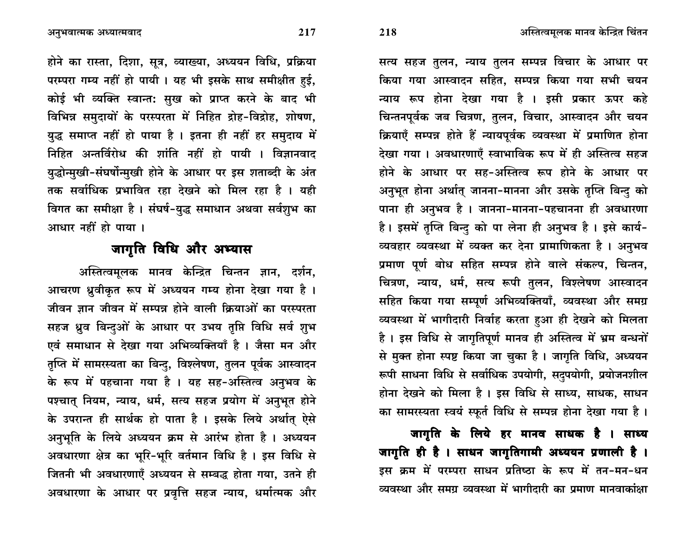होने का रास्ता, दिशा, सूत्र, व्याख्या, अध्ययन विधि, प्रक्रिया परम्परा गम्य नहीं हो पायी। यह भी इसके साथ समीक्षीत हई, कोई भी व्यक्ति स्वान्त: सुख को प्राप्त करने के बाद भी विभिन्न समुदायों के परस्परता में निहित द्रोह-विद्रोह, शोषण, युद्ध समाप्त नहीं हो पाया है । इतना ही नहीं हर समुदाय में निहित अन्तर्विरोध की शांति नहीं हो पायी । विज्ञानवाद युद्धोन्मुखी-संघर्षोन्मुखी होने के आधार पर इस शताब्दी के अंत तक सर्वाधिक प्रभावित रहा देखने को मिल रहा है । यही विगत का समीक्षा है। संघर्ष-युद्ध समाधान अथवा सर्वशुभ का आधार नहीं हो पाया।

## जागृति विधि और अभ्यास

अस्तित्वमूलक मानव केन्द्रित चिन्तन ज्ञान, दर्शन, आचरण ध्रुवीकृत रूप में अध्ययन गम्य होना देखा गया है । जीवन ज्ञान जीवन में सम्पन्न होने वाली क्रियाओं का परस्परता सहज ध्रुव बिन्दुओं के आधार पर उभय तृप्ति विधि सर्व शुभ एवं समाधान से देखा गया अभिव्यक्तियाँ है । जैसा मन और तृप्ति में सामरस्यता का बिन्दु, विश्लेषण, तुलन पूर्वक आस्वादन के रूप में पहचाना गया है । यह सह-अस्तित्व अनुभव के पश्चात् नियम, न्याय, धर्म, सत्य सहज प्रयोग में अनुभूत होने के उपरान्त ही सार्थक हो पाता है । इसके लिये अर्थात् ऐसे अनुभूति के लिये अध्ययन क्रम से आरंभ होता है। अध्ययन अवधारणा क्षेत्र का भूरि-भूरि वर्तमान विधि है। इस विधि से जितनी भी अवधारणाएँ अध्ययन से सम्बद्ध होता गया, उतने ही अवधारणा के आधार पर प्रवृत्ति सहज न्याय, धर्मात्मक और

सत्य सहज तुलन, न्याय तुलन सम्पन्न विचार के आधार पर किया गया आस्वादन सहित, सम्पन्न किया गया सभी चयन न्याय रूप होना देखा गया है । इसी प्रकार ऊपर कहे चिन्तनपूर्वक जब चित्रण, तुलन, विचार, आस्वादन और चयन क्रियाएँ सम्पन्न होते हैं न्यायपूर्वक व्यवस्था में प्रमाणित होना देखा गया। अवधारणाएँ स्वाभाविक रूप में ही अस्तित्व सहज होने के आधार पर सह-अस्तित्व रूप होने के आधार पर अनुभूत होना अर्थात् जानना-मानना और उसके तृप्ति बिन्दु को पाना ही अनुभव है । जानना-मानना-पहचानना ही अवधारणा है। इसमें तृप्ति बिन्द को पा लेना ही अनुभव है। इसे कार्य-व्यवहार व्यवस्था में व्यक्त कर देना प्रामाणिकता है । अनुभव प्रमाण पूर्ण बोध सहित सम्पन्न होने वाले संकल्प, चिन्तन, चित्रण, न्याय, धर्म, सत्य रूपी तुलन, विश्लेषण आस्वादन सहित किया गया सम्पर्ण अभिव्यक्तियाँ, व्यवस्था और समग्र व्यवस्था में भागीदारी निर्वाह करता हुआ ही देखने को मिलता है। इस विधि से जागृतिपूर्ण मानव ही अस्तित्व में भ्रम बन्धनों से मुक्त होना स्पष्ट किया जा चुका है। जागृति विधि, अध्ययन रूपी साधना विधि से सर्वाधिक उपयोगी, सदुपयोगी, प्रयोजनशील होना देखने को मिला है। इस विधि से साध्य, साधक, साधन का सामरस्यता स्वयं स्फूर्त विधि से सम्पन्न होना देखा गया है।

जागृति के लिये हर मानव साधक है । साध्य जागृति ही है । साधन जागृतिगामी अध्ययन प्रणाली है । इस क्रम में परम्परा साधन प्रतिष्ठा के रूप में तन-मन-धन व्यवस्था और समग्र व्यवस्था में भागीदारी का प्रमाण मानवाकांक्षा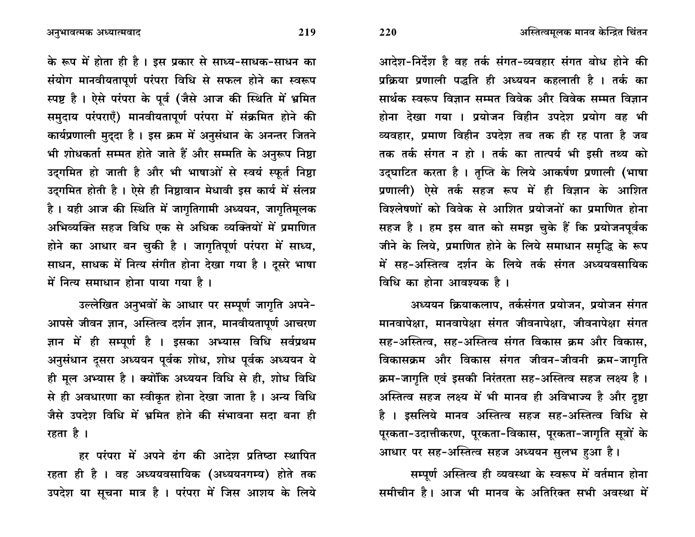आदेश-निर्देश है वह तर्क संगत-व्यवहार संगत बोध होने की प्रक्रिया प्रणाली पद्धति ही अध्ययन कहलाती है । तर्क का सार्थक स्वरूप विज्ञान सम्मत विवेक और विवेक सम्मत विज्ञान होना देखा गया । प्रयोजन विहीन उपदेश प्रयोग वह भी व्यवहार. प्रमाण विहीन उपदेश तब तक ही रह पाता है जब तक तर्क संगत न हो । तर्क का तात्पर्य भी इसी तथ्य को उद्घाटित करता है । तुप्ति के लिये आकर्षण प्रणाली (भाषा प्रणाली) ऐसे तर्क सहज रूप में ही विज्ञान के आशित विश्लेषणों को विवेक से आशित प्रयोजनों का प्रमाणित होना सहज है। हम इस बात को समझ चुके हैं कि प्रयोजनपूर्वक जीने के लिये, प्रमाणित होने के लिये समाधान समृद्धि के रूप में सह-अस्तित्व दर्शन के लिये तर्क संगत अध्ययवसायिक विधि का होना आवश्यक है।

अध्ययन क्रियाकलाप, तर्कसंगत प्रयोजन, प्रयोजन संगत मानवापेक्षा, मानवापेक्षा संगत जीवनापेक्षा, जीवनापेक्षा संगत सह-अस्तित्व, सह-अस्तित्व संगत विकास क्रम और विकास, विकासक्रम और विकास संगत जीवन-जीवनी क्रम-जागृति क्रम-जागृति एवं इसकी निरंतरता सह-अस्तित्व सहज लक्ष्य है। अस्तित्व सहज लक्ष्य में भी मानव ही अविभाज्य है और दूष्टा है । इसलिये मानव अस्तित्व सहज सह-अस्तित्व विधि से पूरकता-उदात्तीकरण, पूरकता-विकास, पूरकता-जागृति सूत्रों के आधार पर सह-अस्तित्व सहज अध्ययन सुलभ हुआ है।

सम्पूर्ण अस्तित्व ही व्यवस्था के स्वरूप में वर्तमान होना समीचीन है। आज भी मानव के अतिरिक्त सभी अवस्था में

के रूप में होता ही है। इस प्रकार से साध्य-साधक-साधन का संयोग मानवीयतापूर्ण परंपरा विधि से सफल होने का स्वरूप स्पष्ट है। ऐसे परंपरा के पूर्व (जैसे आज की स्थिति में भ्रमित समुदाय परंपराएँ) मानवीयतापूर्ण परंपरा में संक्रमित होने की कार्यप्रणाली मुद्दा है। इस क्रम में अनुसंधान के अनन्तर जितने भी शोधकर्ता सम्मत होते जाते हैं और सम्मति के अनुरूप निष्ठा उदगमित हो जाती है और भी भाषाओं से स्वयं स्फर्त निष्ठा उद्गमित होती है। ऐसे ही निष्ठावान मेधावी इस कार्य में संलग्न है। यही आज की स्थिति में जागृतिगामी अध्ययन, जागृतिमूलक अभिव्यक्ति सहज विधि एक से अधिक व्यक्तियों में प्रमाणित होने का आधार बन चुकी है। जागृतिपूर्ण परंपरा में साध्य, साधन, साधक में नित्य संगीत होना देखा गया है। दूसरे भाषा में नित्य समाधान होना पाया गया है।

उल्लेखित अनुभवों के आधार पर सम्पूर्ण जागृति अपने-आपसे जीवन ज्ञान, अस्तित्व दर्शन ज्ञान, मानवीयतापूर्ण आचरण ज्ञान में ही सम्पूर्ण है । इसका अभ्यास विधि सर्वप्रथम अनुसंधान दुसरा अध्ययन पूर्वक शोध, शोध पूर्वक अध्ययन ये ही मूल अभ्यास है। क्योंकि अध्ययन विधि से ही, शोध विधि से ही अवधारणा का स्वीकृत होना देखा जाता है। अन्य विधि जैसे उपदेश विधि में भ्रमित होने की संभावना सदा बना ही रहता है ।

हर परंपरा में अपने ढंग की आदेश प्रतिष्ठा स्थापित रहता ही है । वह अध्ययवसायिक (अध्ययनगम्य) होते तक उपदेश या सूचना मात्र है । परंपरा में जिस आशय के लिये